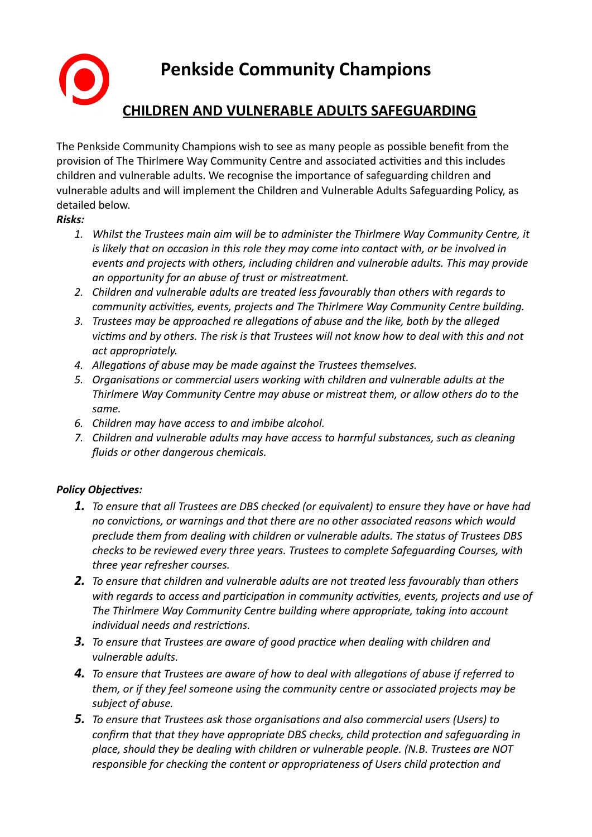**Penkside Community Champions CHILDREN AND VULNERABLE ADULTS SAFEGUARDING**

The Penkside Community Champions wish to see as many people as possible benefit from the provision of The Thirlmere Way Community Centre and associated activities and this includes children and vulnerable adults. We recognise the importance of safeguarding children and vulnerable adults and will implement the Children and Vulnerable Adults Safeguarding Policy, as detailed below.

#### *Risks:*

- *1. Whilst the Trustees main aim will be to administer the Thirlmere Way Community Centre, it is likely that on occasion in this role they may come into contact with, or be involved in events and projects with others, including children and vulnerable adults. This may provide an opportunity for an abuse of trust or mistreatment.*
- *2. Children and vulnerable adults are treated less favourably than others with regards to community activities, events, projects and The Thirlmere Way Community Centre building.*
- *3. Trustees may be approached re allegations of abuse and the like, both by the alleged victims and by others. The risk is that Trustees will not know how to deal with this and not act appropriately.*
- *4. Allegations of abuse may be made against the Trustees themselves.*
- *5. Organisations or commercial users working with children and vulnerable adults at the Thirlmere Way Community Centre may abuse or mistreat them, or allow others do to the same.*
- *6. Children may have access to and imbibe alcohol.*
- *7. Children and vulnerable adults may have access to harmful substances, such as cleaning fluids or other dangerous chemicals.*

### *Policy Objectives:*

- *1. To ensure that all Trustees are DBS checked (or equivalent) to ensure they have or have had no convictions, or warnings and that there are no other associated reasons which would preclude them from dealing with children or vulnerable adults. The status of Trustees DBS checks to be reviewed every three years. Trustees to complete Safeguarding Courses, with three year refresher courses.*
- *2. To ensure that children and vulnerable adults are not treated less favourably than others with regards to access and participation in community activities, events, projects and use of The Thirlmere Way Community Centre building where appropriate, taking into account individual needs and restrictions.*
- *3. To ensure that Trustees are aware of good practice when dealing with children and vulnerable adults.*
- *4. To ensure that Trustees are aware of how to deal with allegations of abuse if referred to them, or if they feel someone using the community centre or associated projects may be subject of abuse.*
- *5. To ensure that Trustees ask those organisations and also commercial users (Users) to confirm that that they have appropriate DBS checks, child protection and safeguarding in place, should they be dealing with children or vulnerable people. (N.B. Trustees are NOT responsible for checking the content or appropriateness of Users child protection and*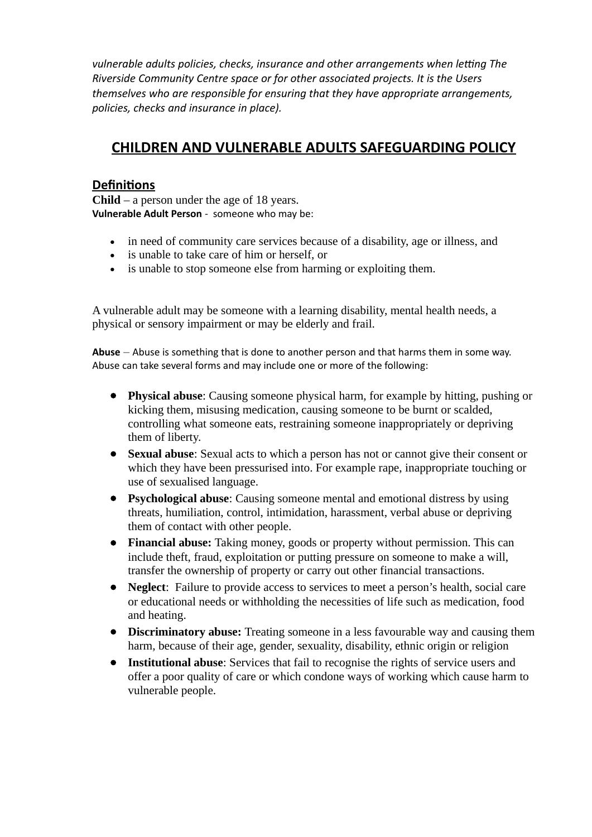*vulnerable adults policies, checks, insurance and other arrangements when letting The Riverside Community Centre space or for other associated projects. It is the Users themselves who are responsible for ensuring that they have appropriate arrangements, policies, checks and insurance in place).*

# **CHILDREN AND VULNERABLE ADULTS SAFEGUARDING POLICY**

## **Definitions**

**Child** – a person under the age of 18 years. **Vulnerable Adult Person** - someone who may be:

- in need of community care services because of a disability, age or illness, and
- is unable to take care of him or herself, or
- is unable to stop someone else from harming or exploiting them.

A vulnerable adult may be someone with a learning disability, mental health needs, a physical or sensory impairment or may be elderly and frail.

**Abuse** – Abuse is something that is done to another person and that harms them in some way. Abuse can take several forms and may include one or more of the following:

- **Physical abuse**: Causing someone physical harm, for example by hitting, pushing or kicking them, misusing medication, causing someone to be burnt or scalded, controlling what someone eats, restraining someone inappropriately or depriving them of liberty.
- **Sexual abuse**: Sexual acts to which a person has not or cannot give their consent or which they have been pressurised into. For example rape, inappropriate touching or use of sexualised language.
- **Psychological abuse**: Causing someone mental and emotional distress by using threats, humiliation, control, intimidation, harassment, verbal abuse or depriving them of contact with other people.
- **Financial abuse:** Taking money, goods or property without permission. This can include theft, fraud, exploitation or putting pressure on someone to make a will, transfer the ownership of property or carry out other financial transactions.
- **Neglect**: Failure to provide access to services to meet a person's health, social care or educational needs or withholding the necessities of life such as medication, food and heating.
- **Discriminatory abuse:** Treating someone in a less favourable way and causing them harm, because of their age, gender, sexuality, disability, ethnic origin or religion
- **Institutional abuse**: Services that fail to recognise the rights of service users and offer a poor quality of care or which condone ways of working which cause harm to vulnerable people.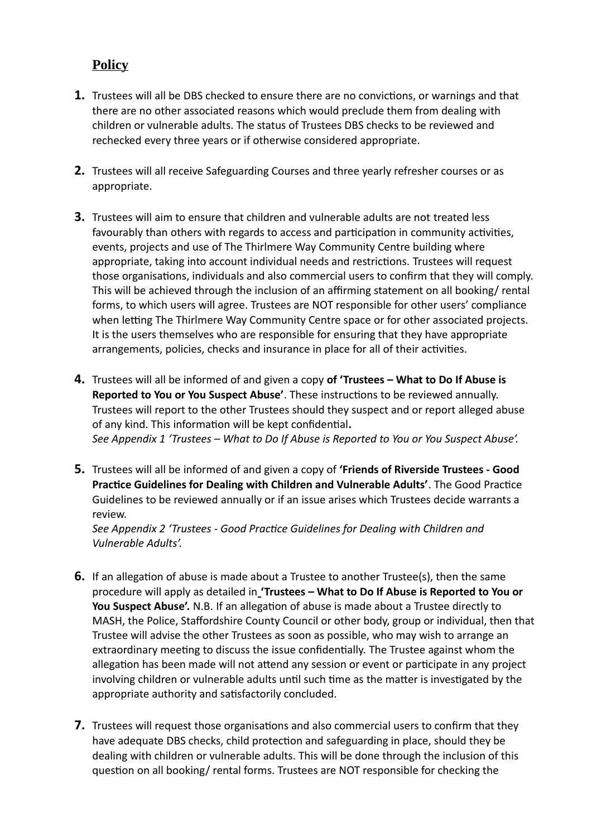## **Policy**

- **1.** Trustees will all be DBS checked to ensure there are no convictions, or warnings and that there are no other associated reasons which would preclude them from dealing with children or vulnerable adults. The status of Trustees DBS checks to be reviewed and rechecked every three years or if otherwise considered appropriate.
- **2.** Trustees will all receive Safeguarding Courses and three yearly refresher courses or as appropriate.
- **3.** Trustees will aim to ensure that children and vulnerable adults are not treated less favourably than others with regards to access and participation in community activities, events, projects and use of The Thirlmere Way Community Centre building where appropriate, taking into account individual needs and restrictions. Trustees will request those organisations, individuals and also commercial users to confirm that they will comply. This will be achieved through the inclusion of an affirming statement on all booking/ rental forms, to which users will agree. Trustees are NOT responsible for other users' compliance when letting The Thirlmere Way Community Centre space or for other associated projects. It is the users themselves who are responsible for ensuring that they have appropriate arrangements, policies, checks and insurance in place for all of their activities.
- **4.** Trustees will all be informed of and given a copy **of 'Trustees What to Do If Abuse is Reported to You or You Suspect Abuse'**. These instructions to be reviewed annually. Trustees will report to the other Trustees should they suspect and or report alleged abuse of any kind. This information will be kept confidential**.**  *See Appendix 1 'Trustees – What to Do If Abuse is Reported to You or You Suspect Abuse'.*
- **5.** Trustees will all be informed of and given a copy of **'Friends of Riverside Trustees Good Practice Guidelines for Dealing with Children and Vulnerable Adults'**. The Good Practice Guidelines to be reviewed annually or if an issue arises which Trustees decide warrants a review.

*See Appendix 2 'Trustees - Good Practice Guidelines for Dealing with Children and Vulnerable Adults'.*

- **6.** If an allegation of abuse is made about a Trustee to another Trustee(s), then the same procedure will apply as detailed in **'Trustees – What to Do If Abuse is Reported to You or You Suspect Abuse'.** N.B. If an allegation of abuse is made about a Trustee directly to MASH, the Police, Staffordshire County Council or other body, group or individual, then that Trustee will advise the other Trustees as soon as possible, who may wish to arrange an extraordinary meeting to discuss the issue confidentially. The Trustee against whom the allegation has been made will not attend any session or event or participate in any project involving children or vulnerable adults until such time as the matter is investigated by the appropriate authority and satisfactorily concluded.
- **7.** Trustees will request those organisations and also commercial users to confirm that they have adequate DBS checks, child protection and safeguarding in place, should they be dealing with children or vulnerable adults. This will be done through the inclusion of this question on all booking/ rental forms. Trustees are NOT responsible for checking the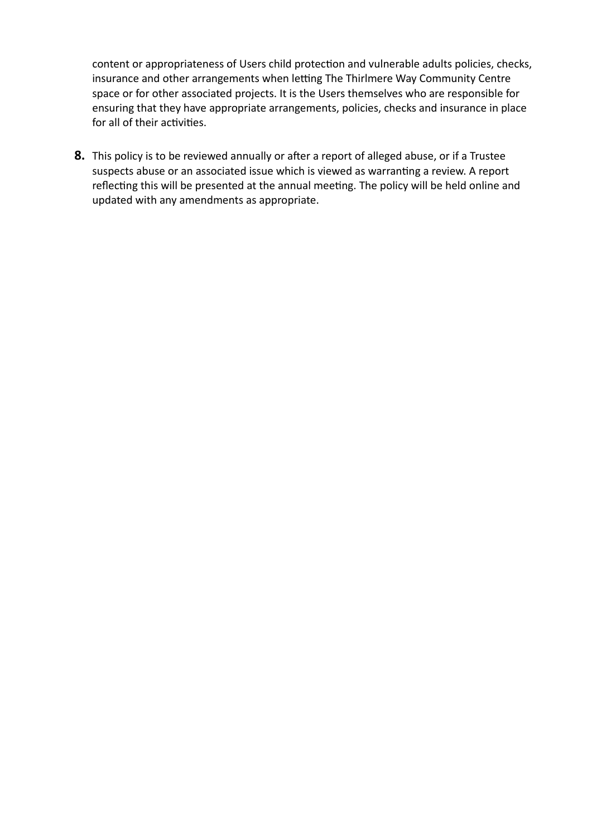content or appropriateness of Users child protection and vulnerable adults policies, checks, insurance and other arrangements when letting The Thirlmere Way Community Centre space or for other associated projects. It is the Users themselves who are responsible for ensuring that they have appropriate arrangements, policies, checks and insurance in place for all of their activities.

**8.** This policy is to be reviewed annually or after a report of alleged abuse, or if a Trustee suspects abuse or an associated issue which is viewed as warranting a review. A report reflecting this will be presented at the annual meeting. The policy will be held online and updated with any amendments as appropriate.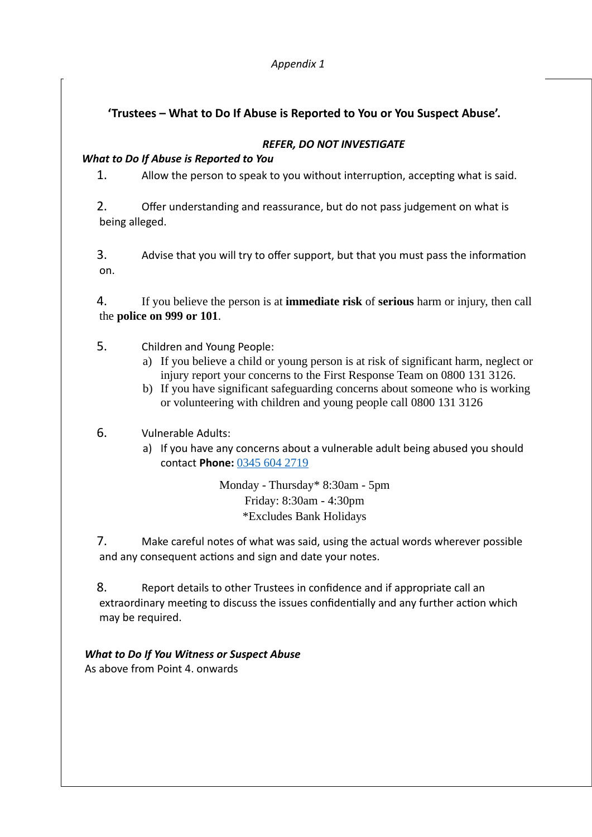## **'Trustees – What to Do If Abuse is Reported to You or You Suspect Abuse'.**

#### *REFER, DO NOT INVESTIGATE*

#### *What to Do If Abuse is Reported to You*

1. Allow the person to speak to you without interruption, accepting what is said.

2. Offer understanding and reassurance, but do not pass judgement on what is being alleged.

3. Advise that you will try to offer support, but that you must pass the information on.

4. If you believe the person is at **immediate risk** of **serious** harm or injury, then call the **police on 999 or 101**.

- 5. Children and Young People:
	- a) If you believe a child or young person is at risk of significant harm, neglect or injury report your concerns to the First Response Team on 0800 131 3126.
	- b) If you have significant safeguarding concerns about someone who is working or volunteering with children and young people call 0800 131 3126

### 6. Vulnerable Adults:

a) If you have any concerns about a vulnerable adult being abused you should contact **Phone:** [0345 604 2719](tel:03456042719)

> Monday - Thursday\* 8:30am - 5pm Friday: 8:30am - 4:30pm \*Excludes Bank Holidays

7. Make careful notes of what was said, using the actual words wherever possible and any consequent actions and sign and date your notes.

8. Report details to other Trustees in confidence and if appropriate call an extraordinary meeting to discuss the issues confidentially and any further action which may be required.

### *What to Do If You Witness or Suspect Abuse*

As above from Point 4. onwards